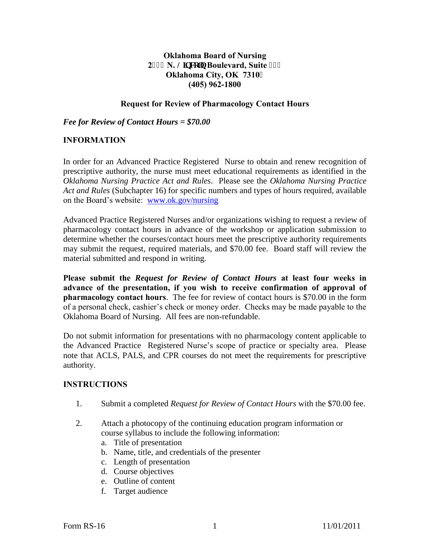# **Oklahoma Board of Nursing 2723 N. Nipeqp Boulevard, Suite 429 Oklahoma City, OK 7310 (405) 962-1800**

#### **Request for Review of Pharmacology Contact Hours**

*Fee for Review of Contact Hours = \$70.00* 

## **INFORMATION**

In order for an Advanced Practice Registered Nurse to obtain and renew recognition of prescriptive authority, the nurse must meet educational requirements as identified in the *Oklahoma Nursing Practice Act and Rules*. Please see the *Oklahoma Nursing Practice Act and Rules* (Subchapter 16) for specific numbers and types of hours required, available on the Board's website: [www.ok.gov/nursing](http://www.ok.gov/nursing)

Advanced Practice Registered Nurses and/or organizations wishing to request a review of pharmacology contact hours in advance of the workshop or application submission to determine whether the courses/contact hours meet the prescriptive authority requirements may submit the request, required materials, and \$70.00 fee. Board staff will review the material submitted and respond in writing.

**Please submit the** *Request for Review of Contact Hours* **at least four weeks in advance of the presentation, if you wish to receive confirmation of approval of pharmacology contact hours**. The fee for review of contact hours is \$70.00 in the form of a personal check, cashier's check or money order. Checks may be made payable to the Oklahoma Board of Nursing. All fees are non-refundable.

Do not submit information for presentations with no pharmacology content applicable to the Advanced Practice Registered Nurse's scope of practice or specialty area. Please note that ACLS, PALS, and CPR courses do not meet the requirements for prescriptive authority.

#### **INSTRUCTIONS**

- 1. Submit a completed *Request for Review of Contact Hours* with the \$70.00 fee.
- 2. Attach a photocopy of the continuing education program information or course syllabus to include the following information:
	- a. Title of presentation
	- b. Name, title, and credentials of the presenter
	- c. Length of presentation
	- d. Course objectives
	- e. Outline of content
	- f. Target audience